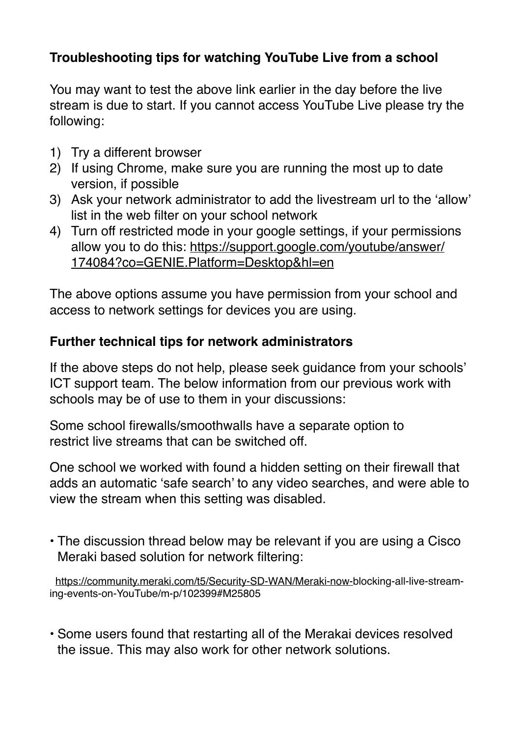## **Troubleshooting tips for watching YouTube Live from a school**

You may want to test the above link earlier in the day before the live stream is due to start. If you cannot access YouTube Live please try the following:

- 1) Try a different browser
- 2) If using Chrome, make sure you are running the most up to date version, if possible
- 3) Ask your network administrator to add the livestream url to the 'allow' list in the web filter on your school network
- 4) Turn off restricted mode in your google settings, if your permissions [allow you to do this: https://support.google.com/youtube/answer/](https://support.google.com/youtube/answer/174084?co=GENIE.Platform=Desktop&hl=en) [174084?co=GENIE.Platform=Desktop&hl=en](https://support.google.com/youtube/answer/174084?co=GENIE.Platform=Desktop&hl=en)

The above options assume you have permission from your school and access to network settings for devices you are using.

## **Further technical tips for network administrators**

If the above steps do not help, please seek guidance from your schools' ICT support team. The below information from our previous work with schools may be of use to them in your discussions:

Some school firewalls/smoothwalls have a separate option to restrict live streams that can be switched off.

One school we worked with found a hidden setting on their firewall that adds an automatic 'safe search' to any video searches, and were able to view the stream when this setting was disabled.

• The discussion thread below may be relevant if you are using a Cisco Meraki based solution for network filtering:

 <https://community.meraki.com/t5/Security-SD-WAN/Meraki-now->blocking-all-live-streaming-events-on-YouTube/m-p/102399#M25805

• Some users found that restarting all of the Merakai devices resolved the issue. This may also work for other network solutions.